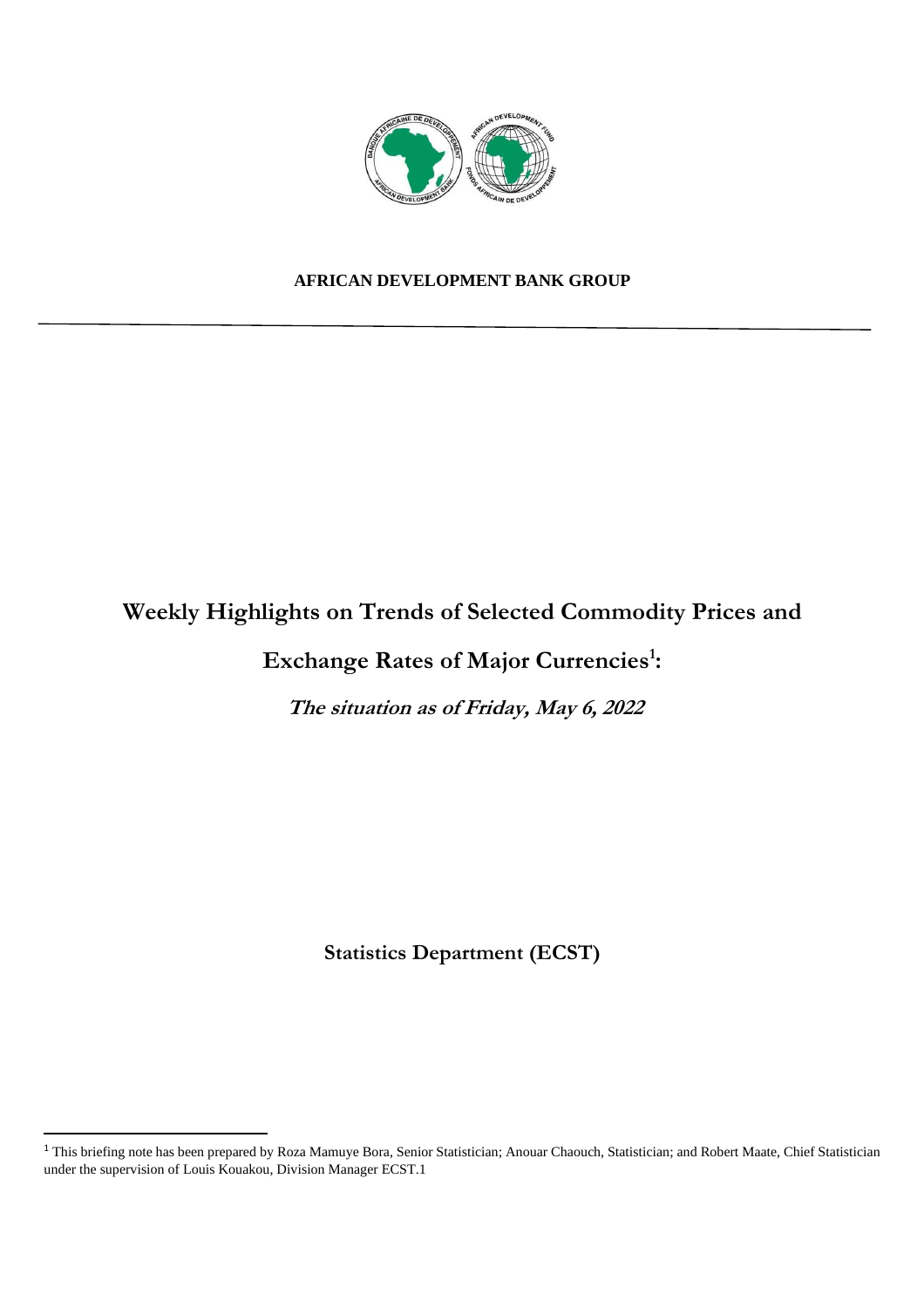

#### **AFRICAN DEVELOPMENT BANK GROUP**

## **Weekly Highlights on Trends of Selected Commodity Prices and**

## **Exchange Rates of Major Currencies<sup>1</sup> :**

**The situation as of Friday, May 6, 2022** 

**Statistics Department (ECST)** 

<sup>&</sup>lt;sup>1</sup> This briefing note has been prepared by Roza Mamuye Bora, Senior Statistician; Anouar Chaouch, Statistician; and Robert Maate, Chief Statistician under the supervision of Louis Kouakou, Division Manager ECST.1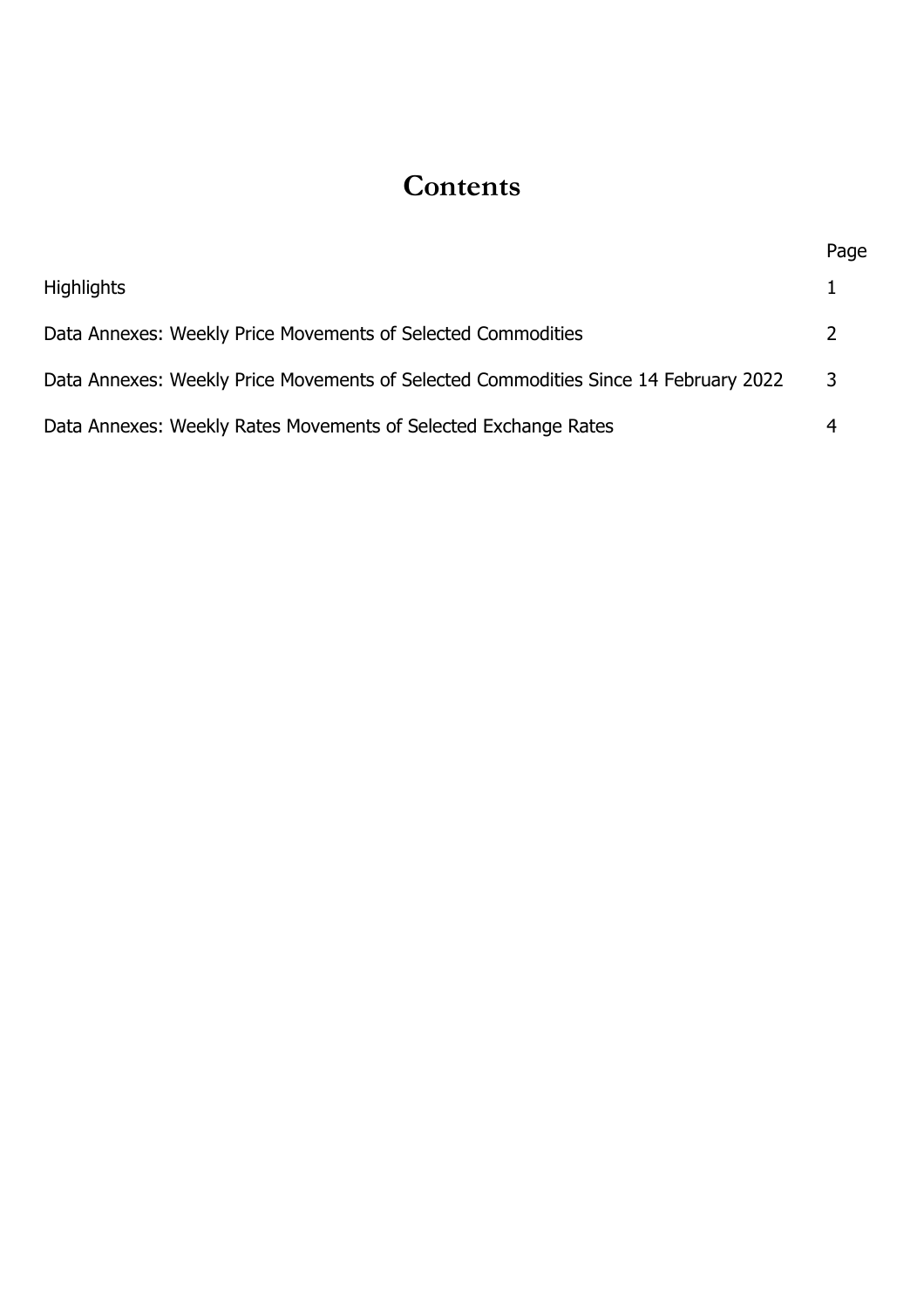# **Contents**

|                                                                                     | Page |
|-------------------------------------------------------------------------------------|------|
| <b>Highlights</b>                                                                   |      |
| Data Annexes: Weekly Price Movements of Selected Commodities                        | ᄀ    |
| Data Annexes: Weekly Price Movements of Selected Commodities Since 14 February 2022 | 3    |
| Data Annexes: Weekly Rates Movements of Selected Exchange Rates                     |      |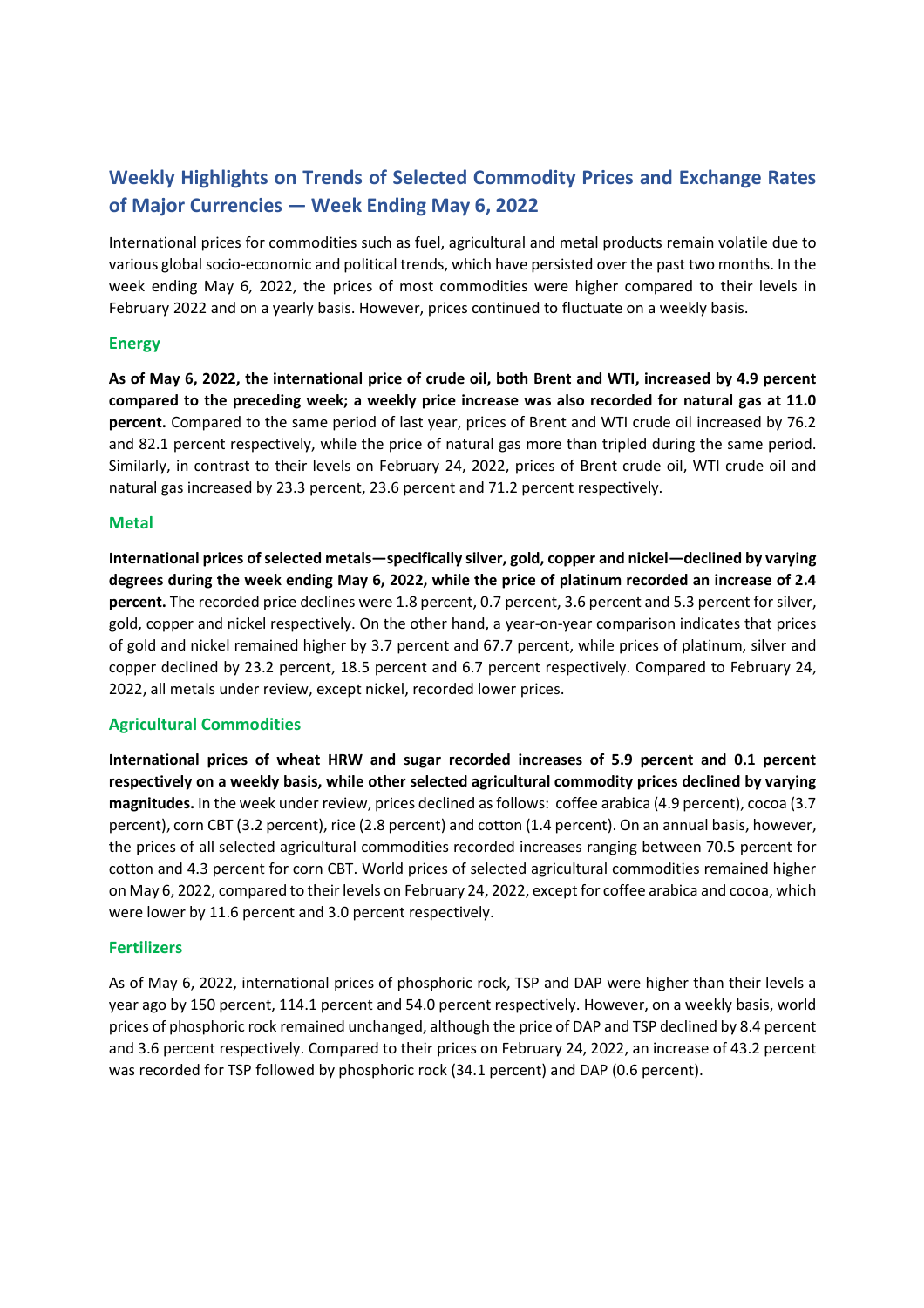### **Weekly Highlights on Trends of Selected Commodity Prices and Exchange Rates of Major Currencies — Week Ending May 6, 2022**

International prices for commodities such as fuel, agricultural and metal products remain volatile due to various global socio-economic and political trends, which have persisted over the past two months. In the week ending May 6, 2022, the prices of most commodities were higher compared to their levels in February 2022 and on a yearly basis. However, prices continued to fluctuate on a weekly basis.

#### **Energy**

**As of May 6, 2022, the international price of crude oil, both Brent and WTI, increased by 4.9 percent compared to the preceding week; a weekly price increase was also recorded for natural gas at 11.0 percent.** Compared to the same period of last year, prices of Brent and WTI crude oil increased by 76.2 and 82.1 percent respectively, while the price of natural gas more than tripled during the same period. Similarly, in contrast to their levels on February 24, 2022, prices of Brent crude oil, WTI crude oil and natural gas increased by 23.3 percent, 23.6 percent and 71.2 percent respectively.

#### **Metal**

**International prices of selected metals—specifically silver, gold, copper and nickel—declined by varying degrees during the week ending May 6, 2022, while the price of platinum recorded an increase of 2.4 percent.** The recorded price declines were 1.8 percent, 0.7 percent, 3.6 percent and 5.3 percent for silver, gold, copper and nickel respectively. On the other hand, a year-on-year comparison indicates that prices of gold and nickel remained higher by 3.7 percent and 67.7 percent, while prices of platinum, silver and copper declined by 23.2 percent, 18.5 percent and 6.7 percent respectively. Compared to February 24, 2022, all metals under review, except nickel, recorded lower prices.

#### **Agricultural Commodities**

**International prices of wheat HRW and sugar recorded increases of 5.9 percent and 0.1 percent respectively on a weekly basis, while other selected agricultural commodity prices declined by varying magnitudes.** In the week under review, prices declined as follows: coffee arabica (4.9 percent), cocoa (3.7 percent), corn CBT (3.2 percent), rice (2.8 percent) and cotton (1.4 percent). On an annual basis, however, the prices of all selected agricultural commodities recorded increases ranging between 70.5 percent for cotton and 4.3 percent for corn CBT. World prices of selected agricultural commodities remained higher on May 6, 2022, compared to their levels on February 24, 2022, except for coffee arabica and cocoa, which were lower by 11.6 percent and 3.0 percent respectively.

#### **Fertilizers**

As of May 6, 2022, international prices of phosphoric rock, TSP and DAP were higher than their levels a year ago by 150 percent, 114.1 percent and 54.0 percent respectively. However, on a weekly basis, world prices of phosphoric rock remained unchanged, although the price of DAP and TSP declined by 8.4 percent and 3.6 percent respectively. Compared to their prices on February 24, 2022, an increase of 43.2 percent was recorded for TSP followed by phosphoric rock (34.1 percent) and DAP (0.6 percent).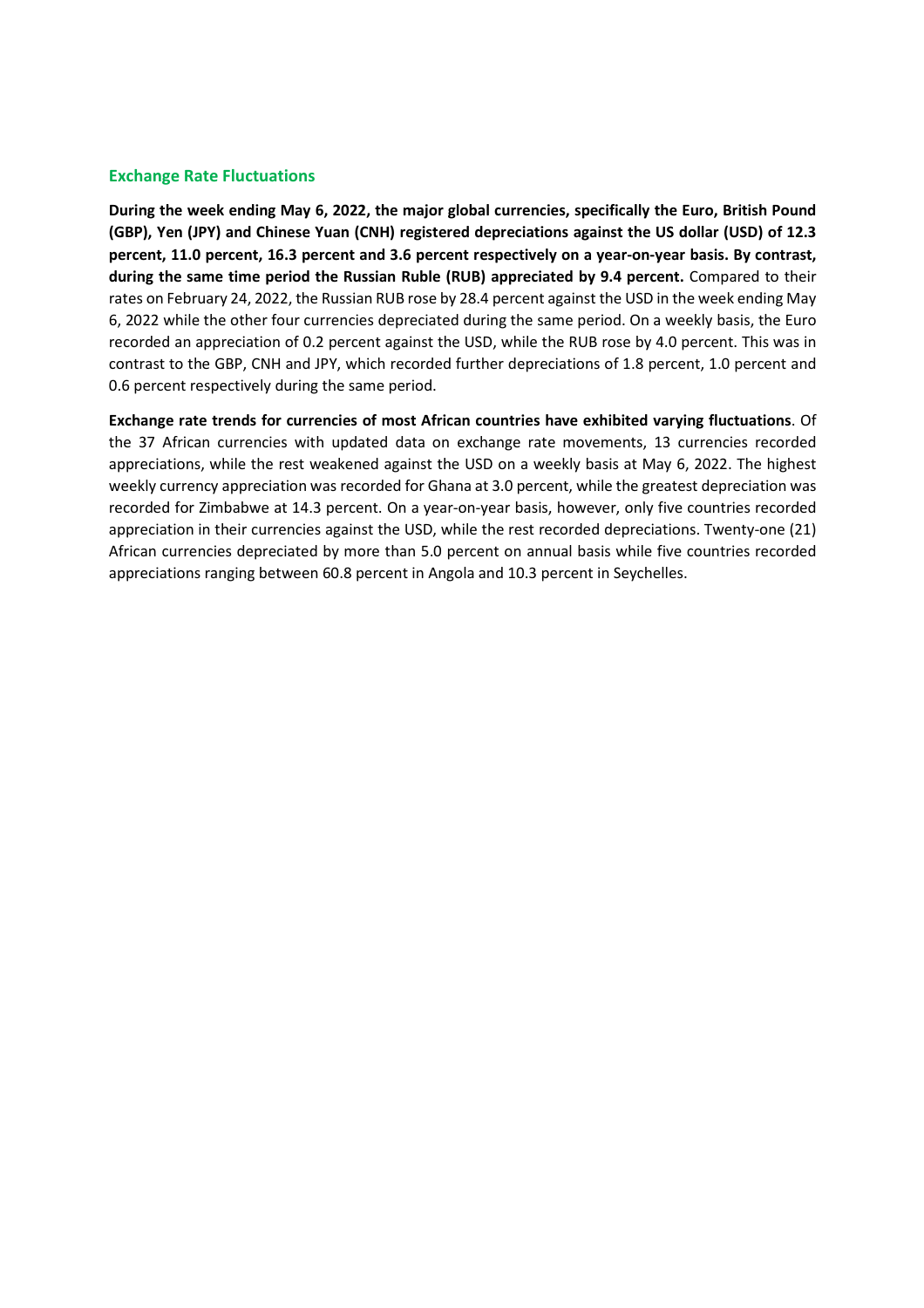#### **Exchange Rate Fluctuations**

**During the week ending May 6, 2022, the major global currencies, specifically the Euro, British Pound (GBP), Yen (JPY) and Chinese Yuan (CNH) registered depreciations against the US dollar (USD) of 12.3 percent, 11.0 percent, 16.3 percent and 3.6 percent respectively on a year-on-year basis. By contrast, during the same time period the Russian Ruble (RUB) appreciated by 9.4 percent.** Compared to their rates on February 24, 2022, the Russian RUB rose by 28.4 percent against the USD in the week ending May 6, 2022 while the other four currencies depreciated during the same period. On a weekly basis, the Euro recorded an appreciation of 0.2 percent against the USD, while the RUB rose by 4.0 percent. This was in contrast to the GBP, CNH and JPY, which recorded further depreciations of 1.8 percent, 1.0 percent and 0.6 percent respectively during the same period.

**Exchange rate trends for currencies of most African countries have exhibited varying fluctuations**. Of the 37 African currencies with updated data on exchange rate movements, 13 currencies recorded appreciations, while the rest weakened against the USD on a weekly basis at May 6, 2022. The highest weekly currency appreciation was recorded for Ghana at 3.0 percent, while the greatest depreciation was recorded for Zimbabwe at 14.3 percent. On a year-on-year basis, however, only five countries recorded appreciation in their currencies against the USD, while the rest recorded depreciations. Twenty-one (21) African currencies depreciated by more than 5.0 percent on annual basis while five countries recorded appreciations ranging between 60.8 percent in Angola and 10.3 percent in Seychelles.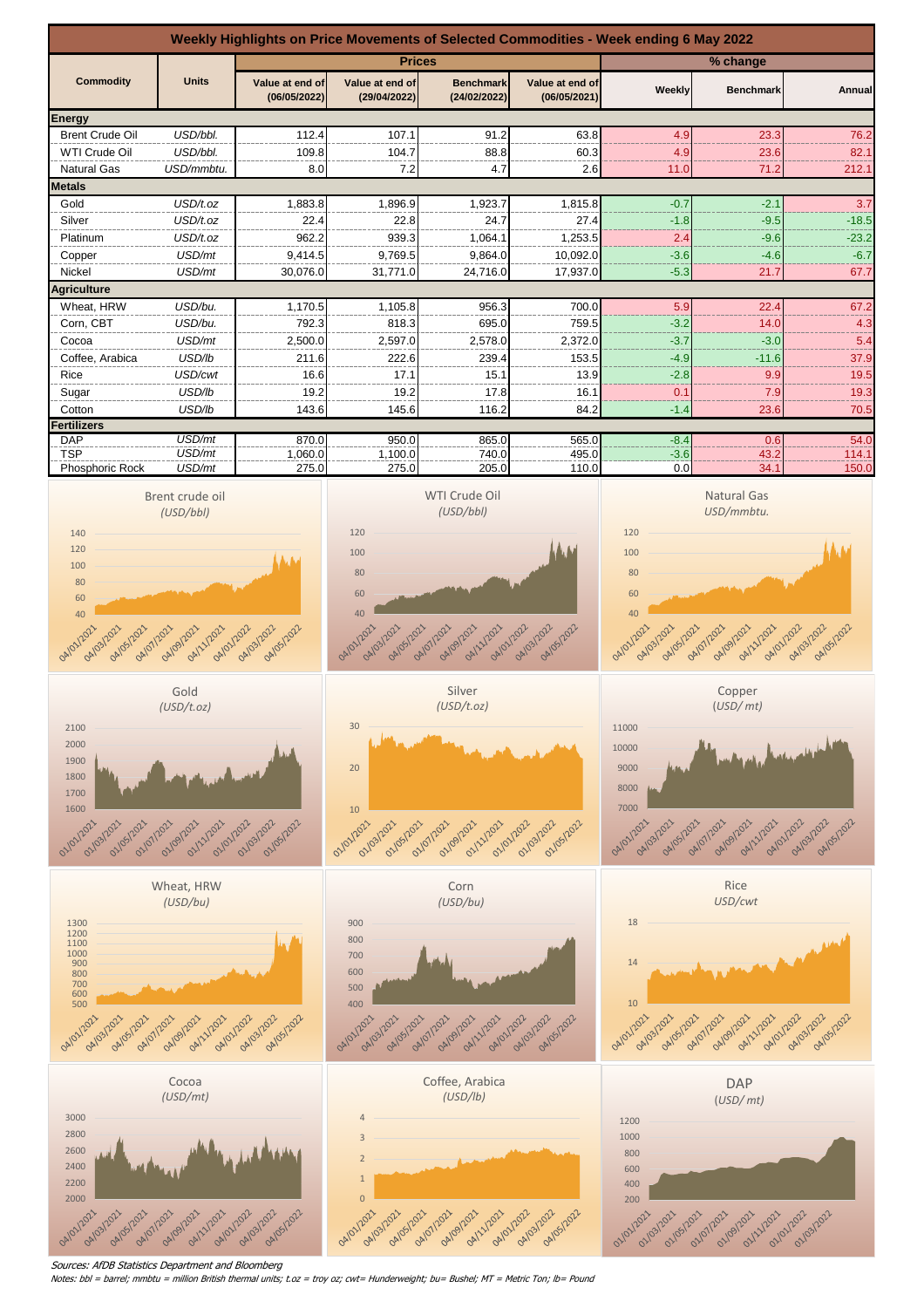

Sources: AfDB Statistics Department and Bloomberg

Notes: bbl = barrel; mmbtu = million British thermal units; t.oz = troy oz; cwt= Hunderweight; bu= Bushel; MT = Metric Ton; lb= Pound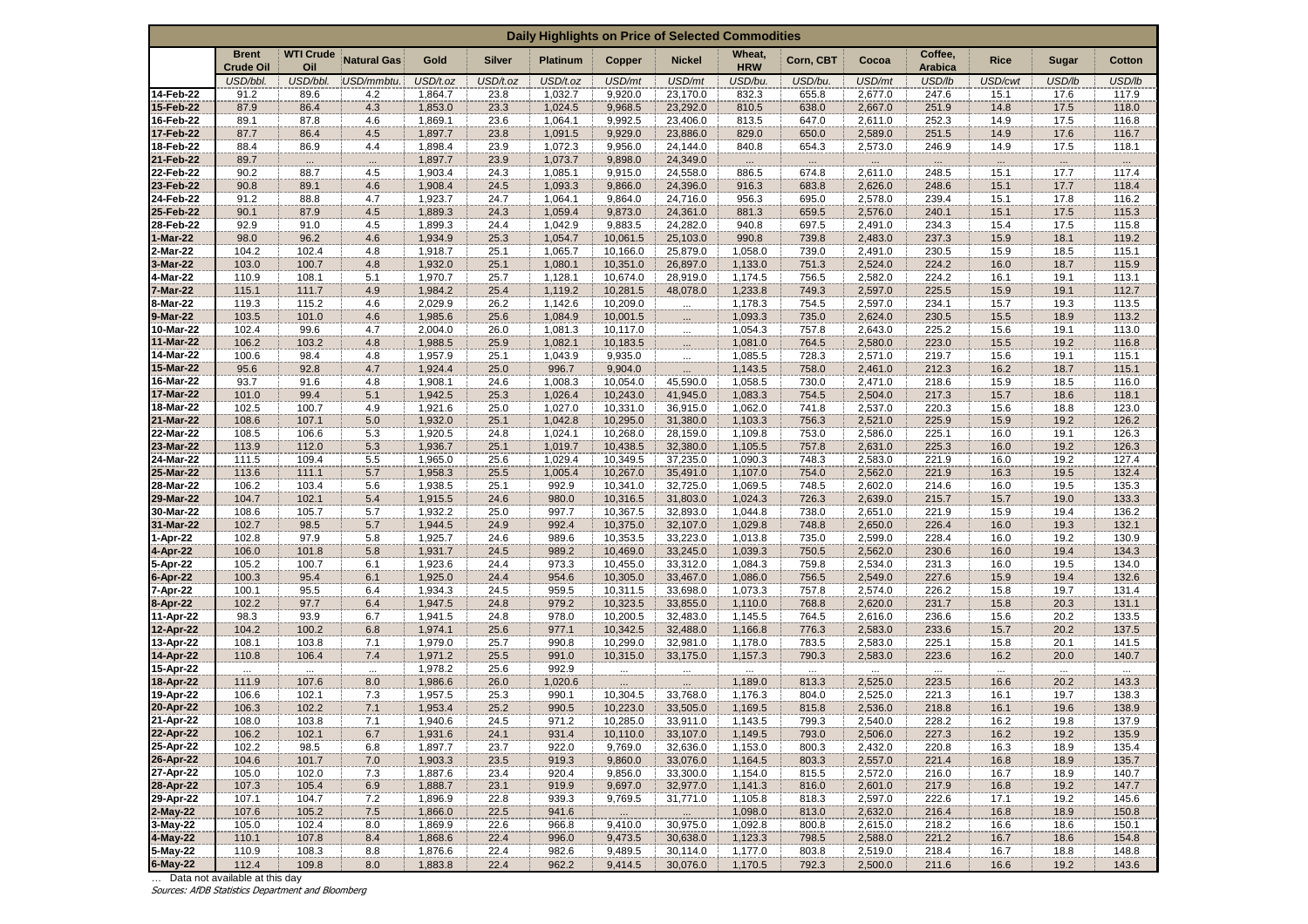| Daily Highlights on Price of Selected Commodities |                                  |                         |                    |                    |               |                    |                      |                      |                      |                  |                    |                           |              |                      |                |
|---------------------------------------------------|----------------------------------|-------------------------|--------------------|--------------------|---------------|--------------------|----------------------|----------------------|----------------------|------------------|--------------------|---------------------------|--------------|----------------------|----------------|
|                                                   | <b>Brent</b><br><b>Crude Oil</b> | <b>WTI Crude</b><br>Oil | <b>Natural Gas</b> | Gold               | <b>Silver</b> | <b>Platinum</b>    | Copper               | <b>Nickel</b>        | Wheat,<br><b>HRW</b> | Corn, CBT        | Cocoa              | Coffee,<br><b>Arabica</b> | <b>Rice</b>  | Sugar                | <b>Cotton</b>  |
|                                                   | USD/bbl.                         | USD/bbl.                | USD/mmbtu.         | USD/t.oz           | USD/t.oz      | USD/t.oz           | USD/mt               | USD/mt               | USD/bu.              | USD/bu.          | USD/mt             | USD/lb                    | USD/cwt      | USD/lb               | USD/lb         |
| 14-Feb-22<br>15-Feb-22                            | 91.2<br>87.9                     | 89.6<br>86.4            | 4.2<br>4.3         | 1,864.7<br>1,853.0 | 23.8<br>23.3  | 1,032.7<br>1,024.5 | 9,920.0<br>9,968.5   | 23,170.0<br>23,292.0 | 832.3<br>810.5       | 655.8<br>638.0   | 2,677.0<br>2,667.0 | 247.6<br>251.9            | 15.1<br>14.8 | 17.6<br>17.5         | 117.9<br>118.0 |
| 16-Feb-22                                         | 89.1                             | 87.8                    | 4.6                | 1,869.1            | 23.6          | 1,064.1            | 9,992.5              | 23,406.0             | 813.5                | 647.0            | 2,611.0            | 252.3                     | 14.9         | 17.5                 | 116.8          |
| 17-Feb-22                                         | 87.7                             | 86.4                    | 4.5                | 1,897.7            | 23.8          | 1,091.5            | 9,929.0              | 23,886.0             | 829.0                | 650.0            | 2,589.0            | 251.5                     | 14.9         | 17.6                 | 116.7          |
| 18-Feb-22                                         | 88.4                             | 86.9                    | 4.4                | 1,898.4            | 23.9          | 1,072.3            | 9,956.0              | 24,144.0             | 840.8                | 654.3            | 2,573.0            | 246.9                     | 14.9         | 17.5                 | 118.1          |
| 21-Feb-22                                         | 89.7                             |                         | $\cdots$           | 1,897.7            | 23.9          | 1,073.7            | 9,898.0              | 24,349.0             | $\cdots$             | $\dddot{\cdots}$ |                    |                           | $\cdots$     | $\dddot{\mathbf{r}}$ |                |
| 22-Feb-22                                         | 90.2<br>90.8                     | 88.7<br>89.1            | 4.5<br>4.6         | 1,903.4            | 24.3<br>24.5  | 1,085.1            | 9,915.0              | 24,558.0             | 886.5                | 674.8            | 2,611.0            | 248.5                     | 15.1         | 17.7                 | 117.4          |
| 23-Feb-22<br>24-Feb-22                            | 91.2                             | 88.8                    | 4.7                | 1,908.4<br>1,923.7 | 24.7          | 1,093.3<br>1,064.1 | 9,866.0<br>9,864.0   | 24,396.0<br>24,716.0 | 916.3<br>956.3       | 683.8<br>695.0   | 2,626.0<br>2,578.0 | 248.6<br>239.4            | 15.1<br>15.1 | 17.7<br>17.8         | 118.4<br>116.2 |
| 25-Feb-22                                         | 90.1                             | 87.9                    | 4.5                | 1,889.3            | 24.3          | 1,059.4            | 9,873.0              | 24,361.0             | 881.3                | 659.5            | 2,576.0            | 240.1                     | 15.1         | 17.5                 | 115.3          |
| 28-Feb-22                                         | 92.9                             | 91.0                    | 4.5                | 1,899.3            | 24.4          | 1,042.9            | 9,883.5              | 24,282.0             | 940.8                | 697.5            | 2,491.0            | 234.3                     | 15.4         | 17.5                 | 115.8          |
| 1-Mar-22                                          | 98.0                             | 96.2                    | 4.6                | 1,934.9            | 25.3          | 1,054.7            | 10,061.5             | 25,103.0             | 990.8                | 739.8            | 2,483.0            | 237.3                     | 15.9         | 18.1                 | 119.2          |
| 2-Mar-22                                          | 104.2                            | 102.4                   | 4.8                | 1,918.7            | 25.1          | 1,065.7            | 10,166.0             | 25,879.0             | 1,058.0              | 739.0            | 2,491.0            | 230.5                     | 15.9         | 18.5                 | 115.1          |
| 3-Mar-22<br>4-Mar-22                              | 103.0<br>110.9                   | 100.7<br>108.1          | 4.8<br>5.1         | 1,932.0<br>1,970.7 | 25.1<br>25.7  | 1,080.1<br>1,128.1 | 10,351.0<br>10,674.0 | 26,897.0<br>28,919.0 | 1,133.0<br>1,174.5   | 751.3<br>756.5   | 2,524.0<br>2,582.0 | 224.2<br>224.2            | 16.0<br>16.1 | 18.7<br>19.1         | 115.9<br>113.1 |
| 7-Mar-22                                          | 115.1                            | 111.7                   | 4.9                | 1,984.2            | 25.4          | 1,119.2            | 10,281.5             | 48,078.0             | 1,233.8              | 749.3            | 2,597.0            | 225.5                     | 15.9         | 19.1                 | 112.7          |
| 8-Mar-22                                          | 119.3                            | 115.2                   | 4.6                | 2,029.9            | 26.2          | 1,142.6            | 10,209.0             | $\cdots$             | 1,178.3              | 754.5            | 2,597.0            | 234.1                     | 15.7         | 19.3                 | 113.5          |
| 9-Mar-22                                          | 103.5                            | 101.0                   | 4.6                | 1,985.6            | 25.6          | 1,084.9            | 10,001.5             | $\cdots$             | 1,093.3              | 735.0            | 2,624.0            | 230.5                     | 15.5         | 18.9                 | 113.2          |
| 10-Mar-22                                         | 102.4                            | 99.6                    | 4.7                | 2,004.0            | 26.0          | 1,081.3            | 10,117.0             | m.                   | 1,054.3              | 757.8            | 2,643.0            | 225.2                     | 15.6         | 19.1                 | 113.0          |
| 11-Mar-22                                         | 106.2                            | 103.2                   | 4.8                | 1,988.5            | 25.9          | 1,082.1            | 10,183.5             | $\cdots$             | 1,081.0              | 764.5            | 2,580.0            | 223.0                     | 15.5         | 19.2                 | 116.8          |
| 14-Mar-22<br>15-Mar-22                            | 100.6<br>95.6                    | 98.4<br>92.8            | 4.8<br>4.7         | 1,957.9<br>1,924.4 | 25.1<br>25.0  | 1,043.9<br>996.7   | 9,935.0<br>9,904.0   | m.                   | 1,085.5<br>1,143.5   | 728.3<br>758.0   | 2,571.0<br>2,461.0 | 219.7<br>212.3            | 15.6<br>16.2 | 19.1<br>18.7         | 115.1<br>115.1 |
| 16-Mar-22                                         | 93.7                             | 91.6                    | 4.8                | 1,908.1            | 24.6          | 1,008.3            | 10,054.0             | $\ldots$<br>45,590.0 | 1,058.5              | 730.0            | 2,471.0            | 218.6                     | 15.9         | 18.5                 | 116.0          |
| 17-Mar-22                                         | 101.0                            | 99.4                    | 5.1                | 1,942.5            | 25.3          | 1,026.4            | 10,243.0             | 41,945.0             | 1,083.3              | 754.5            | 2,504.0            | 217.3                     | 15.7         | 18.6                 | 118.1          |
| 18-Mar-22                                         | 102.5                            | 100.7                   | 4.9                | 1,921.6            | 25.0          | 1,027.0            | 10,331.0             | 36,915.0             | 1,062.0              | 741.8            | 2,537.0            | 220.3                     | 15.6         | 18.8                 | 123.0          |
| 21-Mar-22                                         | 108.6                            | 107.1                   | 5.0                | 1,932.0            | 25.1          | 1,042.8            | 10,295.0             | 31,380.0             | 1,103.3              | 756.3            | 2,521.0            | 225.9                     | 15.9         | 19.2                 | 126.2          |
| 22-Mar-22<br>23-Mar-22                            | 108.5<br>113.9                   | 106.6<br>112.0          | 5.3<br>5.3         | 1,920.5<br>1,936.7 | 24.8<br>25.1  | 1,024.1<br>1,019.7 | 10,268.0<br>10,438.5 | 28,159.0<br>32,380.0 | 1,109.8<br>1,105.5   | 753.0<br>757.8   | 2,586.0<br>2,631.0 | 225.1<br>225.3            | 16.0<br>16.0 | 19.1<br>19.2         | 126.3<br>126.3 |
| 24-Mar-22                                         | 111.5                            | 109.4                   | 5.5                | 1,965.0            | 25.6          | 1,029.4            | 10,349.5             | 37,235.0             | 1,090.3              | 748.3            | 2,583.0            | 221.9                     | 16.0         | 19.2                 | 127.4          |
| 25-Mar-22                                         | 113.6                            | 111.1                   | 5.7                | 1,958.3            | 25.5          | 1,005.4            | 10,267.0             | 35,491.0             | 1,107.0              | 754.0            | 2,562.0            | 221.9                     | 16.3         | 19.5                 | 132.4          |
| 28-Mar-22                                         | 106.2                            | 103.4                   | 5.6                | 1,938.5            | 25.1          | 992.9              | 10,341.0             | 32,725.0             | 1,069.5              | 748.5            | 2,602.0            | 214.6                     | 16.0         | 19.5                 | 135.3          |
| 29-Mar-22                                         | 104.7                            | 102.1                   | 5.4                | 1,915.5            | 24.6          | 980.0              | 10,316.5             | 31,803.0             | 1,024.3              | 726.3            | 2,639.0            | 215.7                     | 15.7         | 19.0                 | 133.3          |
| 30-Mar-22                                         | 108.6                            | 105.7                   | 5.7                | 1,932.2            | 25.0          | 997.7              | 10,367.5             | 32,893.0             | 1,044.8              | 738.0            | 2,651.0            | 221.9                     | 15.9         | 19.4                 | 136.2          |
| 31-Mar-22<br>1-Apr-22                             | 102.7<br>102.8                   | 98.5<br>97.9            | 5.7<br>5.8         | 1,944.5<br>1,925.7 | 24.9<br>24.6  | 992.4<br>989.6     | 10,375.0<br>10,353.5 | 32,107.0<br>33,223.0 | 1,029.8<br>1,013.8   | 748.8<br>735.0   | 2,650.0<br>2,599.0 | 226.4<br>228.4            | 16.0<br>16.0 | 19.3<br>19.2         | 132.1<br>130.9 |
| 4-Apr-22                                          | 106.0                            | 101.8                   | 5.8                | 1,931.7            | 24.5          | 989.2              | 10,469.0             | 33,245.0             | 1,039.3              | 750.5            | 2,562.0            | 230.6                     | 16.0         | 19.4                 | 134.3          |
| 5-Apr-22                                          | 105.2                            | 100.7                   | 6.1                | 1,923.6            | 24.4          | 973.3              | 10,455.0             | 33,312.0             | 1,084.3              | 759.8            | 2,534.0            | 231.3                     | 16.0         | 19.5                 | 134.0          |
| 6-Apr-22                                          | 100.3                            | 95.4                    | 6.1                | 1,925.0            | 24.4          | 954.6              | 10,305.0             | 33,467.0             | 1,086.0              | 756.5            | 2,549.0            | 227.6                     | 15.9         | 19.4                 | 132.6          |
| 7-Apr-22                                          | 100.1                            | 95.5                    | 6.4                | 1,934.3            | 24.5          | 959.5              | 10,311.5             | 33,698.0             | 1,073.3              | 757.8            | 2,574.0            | 226.2                     | 15.8         | 19.7                 | 131.4          |
| 8-Apr-22<br>11-Apr-22                             | 102.2<br>98.3                    | 97.7<br>93.9            | 6.4<br>6.7         | 1,947.5<br>1,941.5 | 24.8<br>24.8  | 979.2<br>978.0     | 10,323.5<br>10,200.5 | 33,855.0<br>32,483.0 | 1,110.0              | 768.8<br>764.5   | 2,620.0<br>2,616.0 | 231.7<br>236.6            | 15.8         | 20.3<br>20.2         | 131.1<br>133.5 |
| 12-Apr-22                                         | 104.2                            | 100.2                   | 6.8                | 1,974.1            | 25.6          | 977.1              | 10,342.5             | 32,488.0             | 1,145.5<br>1,166.8   | 776.3            | 2,583.0            | 233.6                     | 15.6<br>15.7 | 20.2                 | 137.5          |
| 13-Apr-22                                         | 108.1                            | 103.8                   | 7.1                | 1,979.0            | 25.7          | 990.8              | 10,299.0             | 32,981.0             | 1,178.0              | 783.5            | 2,583.0            | 225.1                     | 15.8         | 20.1                 | 141.5          |
| 14-Apr-22                                         | 110.8                            | 106.4                   | 7.4                | 1,971.2            | 25.5          | 991.0              | 10,315.0             | 33,175.0             | 1,157.3              | 790.3            | 2,583.0            | 223.6                     | 16.2         | 20.0                 | 140.7          |
| 15-Apr-22                                         | $\mathbf{r}$                     | $\cdots$                | $\cdots$           | 1,978.2            | 25.6          | 992.9              | $\mathbf{m}$         | zz.                  |                      | $\cdots$         |                    |                           | $\cdots$     | $\cdot$              |                |
| 18-Apr-22                                         | 111.9                            | 107.6                   | 8.0                | 1,986.6            | 26.0          | 1,020.6            |                      |                      | 1,189.0              | 813.3            | 2,525.0            | 223.5                     | 16.6         | 20.2                 | 143.3          |
| 19-Apr-22<br>20-Apr-22                            | 106.6<br>106.3                   | 102.1<br>102.2          | 7.3<br>7.1         | 1,957.5<br>1,953.4 | 25.3<br>25.2  | 990.1<br>990.5     | 10,304.5<br>10,223.0 | 33,768.0<br>33,505.0 | 1,176.3<br>1,169.5   | 804.0<br>815.8   | 2,525.0<br>2,536.0 | 221.3<br>218.8            | 16.1<br>16.1 | 19.7<br>19.6         | 138.3<br>138.9 |
| 21-Apr-22                                         | 108.0                            | 103.8                   | 7.1                | 1,940.6            | 24.5          | 971.2              | 10,285.0             | 33,911.0             | 1,143.5              | 799.3            | 2,540.0            | 228.2                     | 16.2         | 19.8                 | 137.9          |
| 22-Apr-22                                         | 106.2                            | 102.1                   | 6.7                | 1,931.6            | 24.1          | 931.4              | 10,110.0             | 33,107.0             | 1,149.5              | 793.0            | 2,506.0            | 227.3                     | 16.2         | 19.2                 | 135.9          |
| 25-Apr-22                                         | 102.2                            | 98.5                    | 6.8                | 1,897.7            | 23.7          | 922.0              | 9,769.0              | 32,636.0             | 1,153.0              | 800.3            | 2,432.0            | 220.8                     | 16.3         | 18.9                 | 135.4          |
| 26-Apr-22                                         | 104.6                            | 101.7                   | 7.0                | 1,903.3            | 23.5          | 919.3              | 9,860.0              | 33,076.0             | 1,164.5              | 803.3            | 2,557.0            | 221.4                     | 16.8         | 18.9                 | 135.7          |
| 27-Apr-22                                         | 105.0                            | 102.0                   | 7.3                | 1,887.6            | 23.4          | 920.4              | 9,856.0              | 33,300.0             | 1,154.0              | 815.5            | 2,572.0            | 216.0                     | 16.7         | 18.9                 | 140.7          |
| 28-Apr-22<br>29-Apr-22                            | 107.3<br>107.1                   | 105.4<br>104.7          | 6.9<br>$7.2\,$     | 1,888.7<br>1,896.9 | 23.1<br>22.8  | 919.9<br>939.3     | 9,697.0<br>9,769.5   | 32,977.0<br>31,771.0 | 1,141.3<br>1,105.8   | 816.0<br>818.3   | 2,601.0<br>2,597.0 | 217.9<br>222.6            | 16.8<br>17.1 | 19.2<br>19.2         | 147.7<br>145.6 |
| 2-May-22                                          | 107.6                            | 105.2                   | 7.5                | 1,866.0            | 22.5          | 941.6              | $\cdots$             |                      | 1,098.0              | 813.0            | 2,632.0            | 216.4                     | 16.8         | 18.9                 | 150.8          |
| 3-May-22                                          | 105.0                            | 102.4                   | 8.0                | 1,869.9            | 22.6          | 966.8              | 9,410.0              | 30,975.0             | 1,092.8              | 800.8            | 2,615.0            | 218.2                     | 16.6         | 18.6                 | 150.1          |
| 4-May-22                                          | 110.1                            | 107.8                   | 8.4                | 1,868.6            | 22.4          | 996.0              | 9,473.5              | 30,638.0             | 1,123.3              | 798.5            | 2,588.0            | 221.2                     | 16.7         | 18.6                 | 154.8          |
| 5-May-22                                          | 110.9                            | 108.3                   | 8.8                | 1,876.6            | 22.4          | 982.6              | 9,489.5              | 30,114.0             | 1,177.0              | 803.8            | 2,519.0            | 218.4                     | 16.7         | 18.8                 | 148.8          |
| 6-May-22                                          | 112.4                            | 109.8                   | 8.0                | 1,883.8            | 22.4          | 962.2              | 9,414.5              | 30,076.0             | 1,170.5              | 792.3            | 2,500.0            | 211.6                     | 16.6         | 19.2                 | 143.6          |
| Sources: AfDB Statistics Department and Bloomberg | Data not available at this day   |                         |                    |                    |               |                    |                      |                      |                      |                  |                    |                           |              |                      |                |